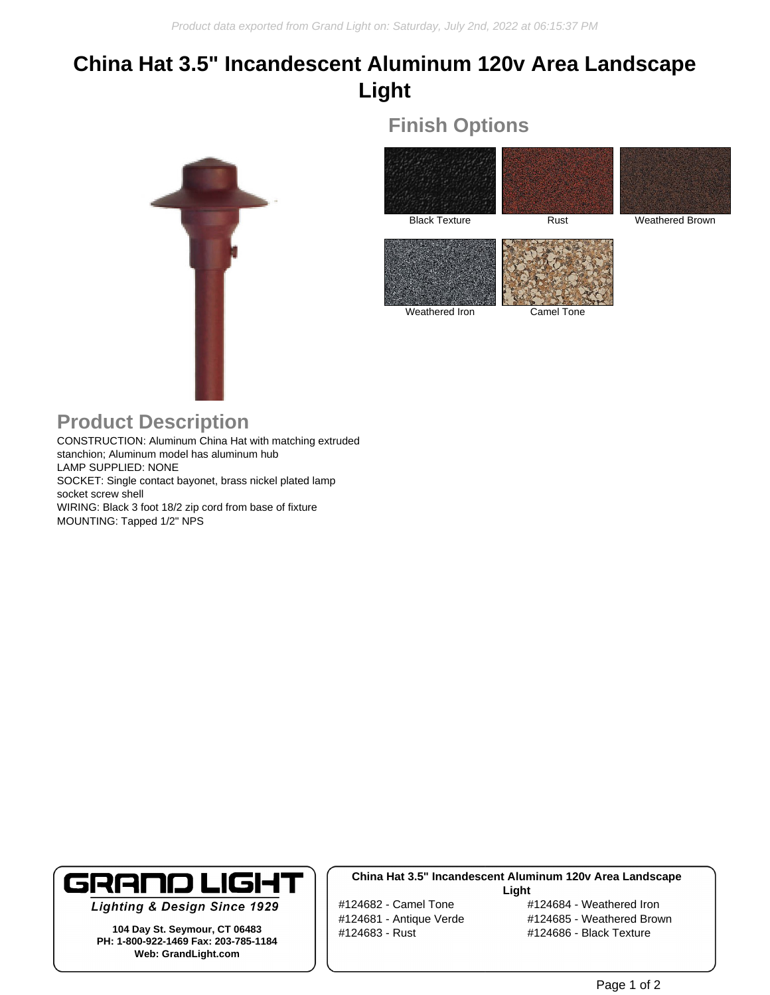# **China Hat 3.5" Incandescent Aluminum 120v Area Landscape Light**

**Finish Options**



Black Texture Rust Rust Weathered Brown Weathered Iron Camel Tone

### **Product Description**

CONSTRUCTION: Aluminum China Hat with matching extruded stanchion; Aluminum model has aluminum hub LAMP SUPPLIED: NONE SOCKET: Single contact bayonet, brass nickel plated lamp socket screw shell WIRING: Black 3 foot 18/2 zip cord from base of fixture MOUNTING: Tapped 1/2" NPS



**Lighting & Design Since 1929** 

**104 Day St. Seymour, CT 06483 PH: 1-800-922-1469 Fax: 203-785-1184 Web: GrandLight.com**

#### **China Hat 3.5" Incandescent Aluminum 120v Area Landscape Light**

#124682 - Camel Tone #124684 - Weathered Iron #124681 - Antique Verde #124685 - Weathered Brown #124683 - Rust #124686 - Black Texture